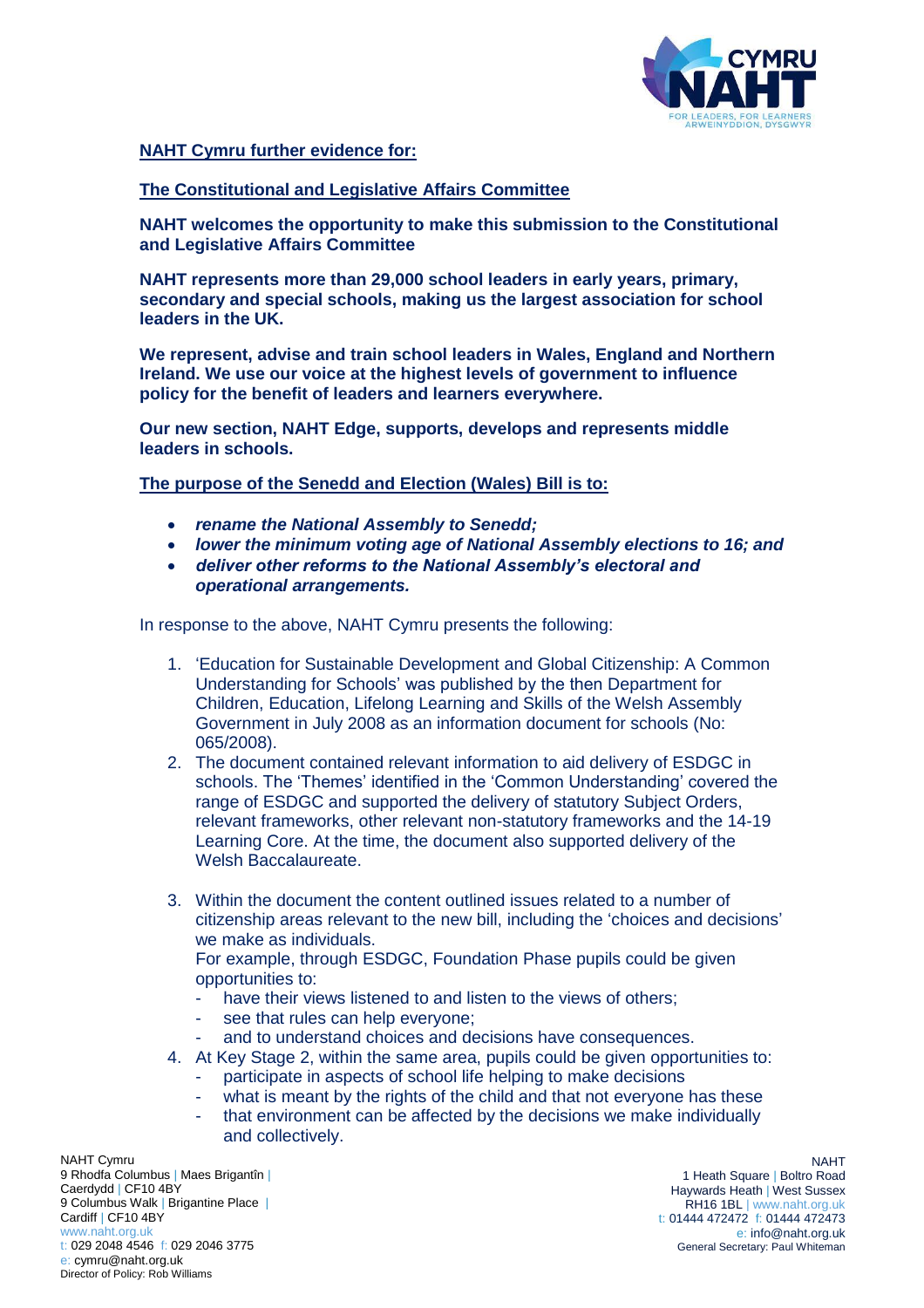

## **NAHT Cymru further evidence for:**

## **The Constitutional and Legislative Affairs Committee**

**NAHT welcomes the opportunity to make this submission to the Constitutional and Legislative Affairs Committee**

**NAHT represents more than 29,000 school leaders in early years, primary, secondary and special schools, making us the largest association for school leaders in the UK.** 

**We represent, advise and train school leaders in Wales, England and Northern Ireland. We use our voice at the highest levels of government to influence policy for the benefit of leaders and learners everywhere.** 

**Our new section, NAHT Edge, supports, develops and represents middle leaders in schools.**

**The purpose of the Senedd and Election (Wales) Bill is to:**

- *rename the National Assembly to Senedd;*
- *lower the minimum voting age of National Assembly elections to 16; and*
- *deliver other reforms to the National Assembly's electoral and operational arrangements.*

In response to the above, NAHT Cymru presents the following:

- 1. 'Education for Sustainable Development and Global Citizenship: A Common Understanding for Schools' was published by the then Department for Children, Education, Lifelong Learning and Skills of the Welsh Assembly Government in July 2008 as an information document for schools (No: 065/2008).
- 2. The document contained relevant information to aid delivery of ESDGC in schools. The 'Themes' identified in the 'Common Understanding' covered the range of ESDGC and supported the delivery of statutory Subject Orders, relevant frameworks, other relevant non-statutory frameworks and the 14-19 Learning Core. At the time, the document also supported delivery of the Welsh Baccalaureate.
- 3. Within the document the content outlined issues related to a number of citizenship areas relevant to the new bill, including the 'choices and decisions' we make as individuals.

For example, through ESDGC, Foundation Phase pupils could be given opportunities to:

- have their views listened to and listen to the views of others;
- see that rules can help everyone;
- and to understand choices and decisions have consequences.
- 4. At Key Stage 2, within the same area, pupils could be given opportunities to:
	- participate in aspects of school life helping to make decisions
	- what is meant by the rights of the child and that not everyone has these
	- that environment can be affected by the decisions we make individually and collectively.

NAHT Cymru 9 Rhodfa Columbus | Maes Brigantîn | Caerdydd | CF10 4BY 9 Columbus Walk | Brigantine Place | Cardiff | CF10 4BY www.naht.org.uk t: 029 2048 4546 f: 029 2046 3775 e: cymru@naht.org.uk Director of Policy: Rob Williams

NAHT 1 Heath Square | Boltro Road Haywards Heath | West Sussex RH16 1BL [| www.naht.org.uk](http://www.naht.org.uk/) t: 01444 472472 f: 01444 472473 e: info@naht.org.uk General Secretary: Paul Whiteman